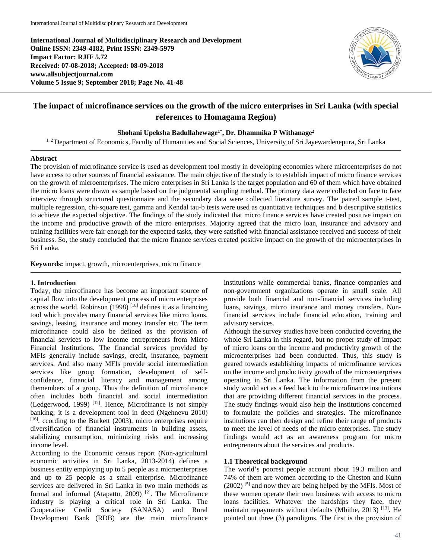**International Journal of Multidisciplinary Research and Development Online ISSN: 2349-4182, Print ISSN: 2349-5979 Impact Factor: RJIF 5.72 Received: 07-08-2018; Accepted: 08-09-2018 www.allsubjectjournal.com Volume 5 Issue 9; September 2018; Page No. 41-48**



# **The impact of microfinance services on the growth of the micro enterprises in Sri Lanka (with special references to Homagama Region)**

**Shohani Upeksha Badullahewage1\*, Dr. Dhammika P Withanage2**

<sup>1, 2</sup> Department of Economics, Faculty of Humanities and Social Sciences, University of Sri Jayewardenepura, Sri Lanka

#### **Abstract**

The provision of microfinance service is used as development tool mostly in developing economies where microenterprises do not have access to other sources of financial assistance. The main objective of the study is to establish impact of micro finance services on the growth of microenterprises. The micro enterprises in Sri Lanka is the target population and 60 of them which have obtained the micro loans were drawn as sample based on the judgmental sampling method. The primary data were collected on face to face interview through structured questionnaire and the secondary data were collected literature survey. The paired sample t-test, multiple regression, chi-square test, gamma and Kendal tau-b tests were used as quantitative techniques and b descriptive statistics to achieve the expected objective. The findings of the study indicated that micro finance services have created positive impact on the income and productive growth of the micro enterprises. Majority agreed that the micro loan, insurance and advisory and training facilities were fair enough for the expected tasks, they were satisfied with financial assistance received and success of their business. So, the study concluded that the micro finance services created positive impact on the growth of the microenterprises in Sri Lanka.

**Keywords:** impact, growth, microenterprises, micro finance

## **1. Introduction**

Today, the microfinance has become an important source of capital flow into the development process of micro enterprises across the world. Robinson  $(1998)$ <sup>[18]</sup> defines it as a financing tool which provides many financial services like micro loans, savings, leasing, insurance and money transfer etc. The term microfinance could also be defined as the provision of financial services to low income entrepreneurs from Micro Financial Institutions. The financial services provided by MFIs generally include savings, credit, insurance, payment services. And also many MFIs provide social intermediation services like group formation, development of selfconfidence, financial literacy and management among themembers of a group. Thus the definition of microfinance often includes both financial and social intermediation (Ledgerwood, 1999) [12]. Hence, Microfinance is not simply banking; it is a development tool in deed (Ngehnevu 2010)  $[16]$ . ccording to the Burkett (2003), micro enterprises require diversification of financial instruments in building assets, stabilizing consumption, minimizing risks and increasing income level.

According to the Economic census report (Non-agricultural economic activities in Sri Lanka, 2013-2014) defines a business entity employing up to 5 people as a microenterprises and up to 25 people as a small enterprise. Microfinance services are delivered in Sri Lanka in two main methods as formal and informal (Atapattu, 2009) [2]. The Microfinance industry is playing a critical role in Sri Lanka. The Cooperative Credit Society (SANASA) and Rural Development Bank (RDB) are the main microfinance institutions while commercial banks, finance companies and non-government organizations operate in small scale. All provide both financial and non-financial services including loans, savings, micro insurance and money transfers. Nonfinancial services include financial education, training and advisory services.

Although the survey studies have been conducted covering the whole Sri Lanka in this regard, but no proper study of impact of micro loans on the income and productivity growth of the microenterprises had been conducted. Thus, this study is geared towards establishing impacts of microfinance services on the income and productivity growth of the microenterprises operating in Sri Lanka. The information from the present study would act as a feed back to the microfinance institutions that are providing different financial services in the process. The study findings would also help the institutions concerned to formulate the policies and strategies. The microfinance institutions can then design and refine their range of products to meet the level of needs of the micro enterprises. The study findings would act as an awareness program for micro entrepreneurs about the services and products.

## **1.1 Theoretical background**

The world's poorest people account about 19.3 million and 74% of them are women according to the Cheston and Kuhn (2002)<sup>[5]</sup> and now they are being helped by the MFIs. Most of these women operate their own business with access to micro loans facilities. Whatever the hardships they face, they maintain repayments without defaults (Mbithe, 2013) [13]. He pointed out three (3) paradigms. The first is the provision of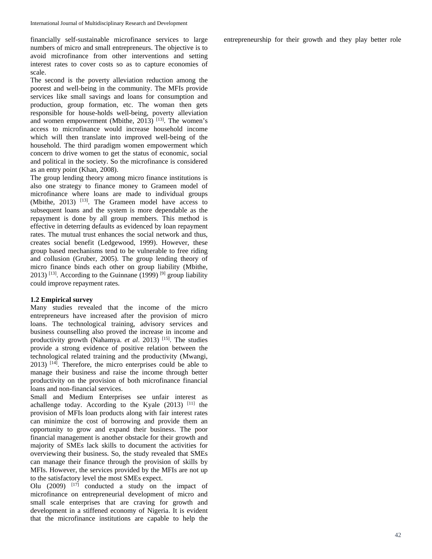financially self-sustainable microfinance services to large numbers of micro and small entrepreneurs. The objective is to avoid microfinance from other interventions and setting interest rates to cover costs so as to capture economies of scale.

The second is the poverty alleviation reduction among the poorest and well-being in the community. The MFIs provide services like small savings and loans for consumption and production, group formation, etc. The woman then gets responsible for house-holds well-being, poverty alleviation and women empowerment (Mbithe,  $2013$ )<sup>[13]</sup>. The women's access to microfinance would increase household income which will then translate into improved well-being of the household. The third paradigm women empowerment which concern to drive women to get the status of economic, social and political in the society. So the microfinance is considered as an entry point (Khan, 2008).

The group lending theory among micro finance institutions is also one strategy to finance money to Grameen model of microfinance where loans are made to individual groups (Mbithe, 2013) <sup>[13]</sup>. The Grameen model have access to subsequent loans and the system is more dependable as the repayment is done by all group members. This method is effective in deterring defaults as evidenced by loan repayment rates. The mutual trust enhances the social network and thus, creates social benefit (Ledgewood, 1999). However, these group based mechanisms tend to be vulnerable to free riding and collusion (Gruber, 2005). The group lending theory of micro finance binds each other on group liability (Mbithe, 2013) <sup>[13]</sup>. According to the Guinnane (1999) <sup>[9]</sup> group liability could improve repayment rates.

## **1.2 Empirical survey**

Many studies revealed that the income of the micro entrepreneurs have increased after the provision of micro loans. The technological training, advisory services and business counselling also proved the increase in income and productivity growth (Nahamya. *et al.* 2013)<sup>[15]</sup>. The studies provide a strong evidence of positive relation between the technological related training and the productivity (Mwangi,  $2013$ )  $[14]$ . Therefore, the micro enterprises could be able to manage their business and raise the income through better productivity on the provision of both microfinance financial loans and non-financial services.

Small and Medium Enterprises see unfair interest as achallenge today. According to the Kyale  $(2013)$ <sup>[11]</sup> the provision of MFIs loan products along with fair interest rates can minimize the cost of borrowing and provide them an opportunity to grow and expand their business. The poor financial management is another obstacle for their growth and majority of SMEs lack skills to document the activities for overviewing their business. So, the study revealed that SMEs can manage their finance through the provision of skills by MFIs. However, the services provided by the MFIs are not up to the satisfactory level the most SMEs expect.

Olu (2009)  $[17]$  conducted a study on the impact of microfinance on entrepreneurial development of micro and small scale enterprises that are craving for growth and development in a stiffened economy of Nigeria. It is evident that the microfinance institutions are capable to help the

entrepreneurship for their growth and they play better role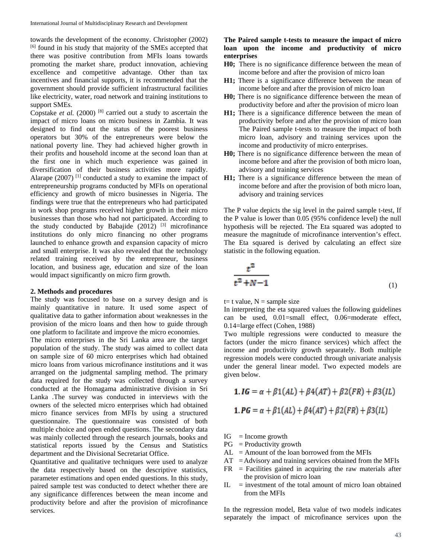towards the development of the economy. Christopher (2002) [6] found in his study that majority of the SMEs accepted that there was positive contribution from MFIs loans towards promoting the market share, product innovation, achieving excellence and competitive advantage. Other than tax incentives and financial supports, it is recommended that the government should provide sufficient infrastructural facilities like electricity, water, road network and training institutions to support SMEs.

Copstake *et al.* (2000) [8] carried out a study to ascertain the impact of micro loans on micro business in Zambia. It was designed to find out the status of the poorest business operators but 30% of the entrepreneurs were below the national poverty line. They had achieved higher growth in their profits and household income at the second loan than at the first one in which much experience was gained in diversification of their business activities more rapidly. Alarape  $(2007)$ <sup>[1]</sup> conducted a study to examine the impact of entrepreneurship programs conducted by MFIs on operational efficiency and growth of micro businesses in Nigeria. The findings were true that the entrepreneurs who had participated in work shop programs received higher growth in their micro businesses than those who had not participated. According to the study conducted by Babajide  $(2012)$  <sup>[3]</sup> microfinance institutions do only micro financing no other programs launched to enhance growth and expansion capacity of micro and small enterprise. It was also revealed that the technology related training received by the entrepreneur, business location, and business age, education and size of the loan would impact significantly on micro firm growth.

## **2. Methods and procedures**

The study was focused to base on a survey design and is mainly quantitative in nature. It used some aspect of qualitative data to gather information about weaknesses in the provision of the micro loans and then how to guide through one platform to facilitate and improve the micro economies.

The micro enterprises in the Sri Lanka area are the target population of the study. The study was aimed to collect data on sample size of 60 micro enterprises which had obtained micro loans from various microfinance institutions and it was arranged on the judgmental sampling method. The primary data required for the study was collected through a survey conducted at the Homagama administrative division in Sri Lanka .The survey was conducted in interviews with the owners of the selected micro enterprises which had obtained micro finance services from MFIs by using a structured questionnaire. The questionnaire was consisted of both multiple choice and open ended questions. The secondary data was mainly collected through the research journals, books and statistical reports issued by the Census and Statistics department and the Divisional Secretariat Office.

Quantitative and qualitative techniques were used to analyze the data respectively based on the descriptive statistics, parameter estimations and open ended questions. In this study, paired sample test was conducted to detect whether there are any significance differences between the mean income and productivity before and after the provision of microfinance services.

# **The Paired sample t-tests to measure the impact of micro loan upon the income and productivity of micro enterprises**

- **H0;** There is no significance difference between the mean of income before and after the provision of micro loan
- **H1;** There is a significance difference between the mean of income before and after the provision of micro loan
- **H0;** There is no significance difference between the mean of productivity before and after the provision of micro loan
- **H1;** There is a significance difference between the mean of productivity before and after the provision of micro loan The Paired sample t-tests to measure the impact of both micro loan, advisory and training services upon the income and productivity of micro enterprises.
- **H0;** There is no significance difference between the mean of income before and after the provision of both micro loan, advisory and training services
- **H1;** There is a significance difference between the mean of income before and after the provision of both micro loan, advisory and training services

The P value depicts the sig level in the paired sample t-test, If the P value is lower than 0.05 (95% confidence level) the null hypothesis will be rejected. The Eta squared was adopted to measure the magnitude of microfinance intervention's effect. The Eta squared is derived by calculating an effect size statistic in the following equation.

$$
\frac{t^2}{t^2 + N - 1}
$$
 (1)

 $t=$  t value,  $N =$  sample size

In interpreting the eta squared values the following guidelines can be used, 0.01=small effect, 0.06=moderate effect, 0.14=large effect (Cohen, 1988)

Two multiple regressions were conducted to measure the factors (under the micro finance services) which affect the income and productivity growth separately. Both multiple regression models were conducted through univariate analysis under the general linear model. Two expected models are given below.

1. 
$$
IG = \alpha + \beta 1(AL) + \beta 4(AT) + \beta 2(FR) + \beta 3(IL)
$$
  
1.  $PG = \alpha + \beta 1(AL) + \beta 4(AT) + \beta 2(FR) + \beta 3(IL)$ 

- $IG = Income$  growth
- $PG = Productivity growth$
- $AL =$  Amount of the loan borrowed from the MFIs
- $AT =$ Advisory and training services obtained from the MFIs
- $FR$  = Facilities gained in acquiring the raw materials after the provision of micro loan
- $IL = investment of the total amount of micro loan obtained$ from the MFIs

In the regression model, Beta value of two models indicates separately the impact of microfinance services upon the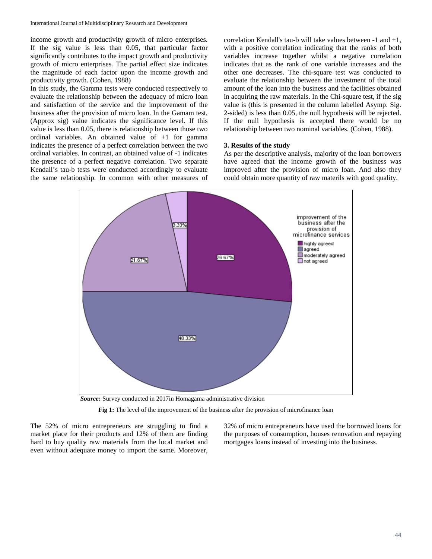income growth and productivity growth of micro enterprises. If the sig value is less than 0.05, that particular factor significantly contributes to the impact growth and productivity growth of micro enterprises. The partial effect size indicates the magnitude of each factor upon the income growth and productivity growth. (Cohen, 1988)

In this study, the Gamma tests were conducted respectively to evaluate the relationship between the adequacy of micro loan and satisfaction of the service and the improvement of the business after the provision of micro loan. In the Gamam test, (Approx sig) value indicates the significance level. If this value is less than 0.05, there is relationship between those two ordinal variables. An obtained value of +1 for gamma indicates the presence of a perfect correlation between the two ordinal variables. In contrast, an obtained value of -1 indicates the presence of a perfect negative correlation. Two separate Kendall's tau-b tests were conducted accordingly to evaluate the same relationship. In common with other measures of

correlation Kendall's tau-b will take values between -1 and +1, with a positive correlation indicating that the ranks of both variables increase together whilst a negative correlation indicates that as the rank of one variable increases and the other one decreases. The chi-square test was conducted to evaluate the relationship between the investment of the total amount of the loan into the business and the facilities obtained in acquiring the raw materials. In the Chi-square test, if the sig value is (this is presented in the column labelled Asymp. Sig. 2-sided) is less than 0.05, the null hypothesis will be rejected. If the null hypothesis is accepted there would be no relationship between two nominal variables. (Cohen, 1988).

# **3. Results of the study**

As per the descriptive analysis, majority of the loan borrowers have agreed that the income growth of the business was improved after the provision of micro loan. And also they could obtain more quantity of raw materils with good quality.



*Source***:** Survey conducted in 2017in Homagama administrative division

**Fig 1:** The level of the improvement of the business after the provision of microfinance loan

The 52% of micro entrepreneurs are struggling to find a market place for their products and 12% of them are finding hard to buy quality raw materials from the local market and even without adequate money to import the same. Moreover,

32% of micro entrepreneurs have used the borrowed loans for the purposes of consumption, houses renovation and repaying mortgages loans instead of investing into the business.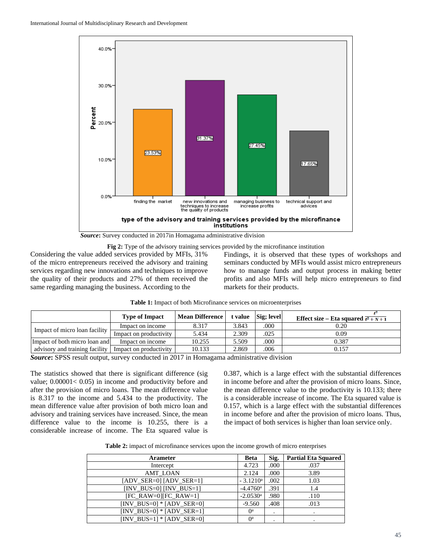

*Source***:** Survey conducted in 2017in Homagama administrative division

**Fig 2:** Type of the advisory training services provided by the microfinance institution Considering the value added services provided by MFIs, 31% of the micro entrepreneurs received the advisory and training services regarding new innovations and techniques to improve the quality of their products and 27% of them received the same regarding managing the business. According to the

Findings, it is observed that these types of workshops and seminars conducted by MFIs would assist micro entrepreneurs how to manage funds and output process in making better profits and also MFIs will help micro entrepreneurs to find markets for their products.

|                                | <b>Type of Impact</b>  | <b>Mean Difference</b> |       | t value Sig; level | Effect size – Eta squared $\frac{t^2 + N + 1}{t^2 + N + 1}$ |
|--------------------------------|------------------------|------------------------|-------|--------------------|-------------------------------------------------------------|
| Impact of micro loan facility  | Impact on income       | 8.317                  | 3.843 | .000               | 0.20                                                        |
|                                | Impact on productivity | 5.434                  | 2.309 | .025               | 0.09                                                        |
| Impact of both micro loan and  | Impact on income       | 10.255                 | 5.509 | .000               | 0.387                                                       |
| advisory and training facility | Impact on productivity | 10.133                 | 2.869 | .006               | 0.157                                                       |

|  | <b>Table 1:</b> Impact of both Microfinance services on microenterprises |  |  |  |  |  |  |
|--|--------------------------------------------------------------------------|--|--|--|--|--|--|
|  |                                                                          |  |  |  |  |  |  |

*Source***:** SPSS result output, survey conducted in 2017 in Homagama administrative division

The statistics showed that there is significant difference (sig value; 0.00001< 0.05) in income and productivity before and after the provision of micro loans. The mean difference value is 8.317 to the income and 5.434 to the productivity. The mean difference value after provision of both micro loan and advisory and training services have increased. Since, the mean difference value to the income is 10.255, there is a considerable increase of income. The Eta squared value is

0.387, which is a large effect with the substantial differences in income before and after the provision of micro loans. Since, the mean difference value to the productivity is 10.133; there is a considerable increase of income. The Eta squared value is 0.157, which is a large effect with the substantial differences in income before and after the provision of micro loans. Thus, the impact of both services is higher than loan service only.

| Table 2: impact of microfinance services upon the income growth of micro enterprises |  |  |  |
|--------------------------------------------------------------------------------------|--|--|--|
|--------------------------------------------------------------------------------------|--|--|--|

| <b>Arameter</b>             | <b>Beta</b>            | Sig. | <b>Partial Eta Squared</b> |
|-----------------------------|------------------------|------|----------------------------|
| Intercept                   | 4.723                  | .000 | .037                       |
| <b>AMT LOAN</b>             | 2.124                  | .000 | 3.89                       |
| $[ADV_SER=0] [ADV_SER=1]$   | $-3.1210^a$            | .002 | 1.03                       |
| $[INV_BUS=0] [INV_BUS=1]$   | $-4.4760$ <sup>a</sup> | .391 | 1.4                        |
| $[FC_RAW=0][FC_RAW=1]$      | $-2.0530$ <sup>a</sup> | .980 | .110                       |
| $[INV_BUS=0] * [ADV_SER=0]$ | $-9.560$               | .408 | .013                       |
| $[INV_BUS=0] * [ADV_SER=1]$ | $0^{\rm a}$            |      |                            |
| $[INV BUS=1] * [ADV SER=0]$ | $0^{\rm a}$            |      |                            |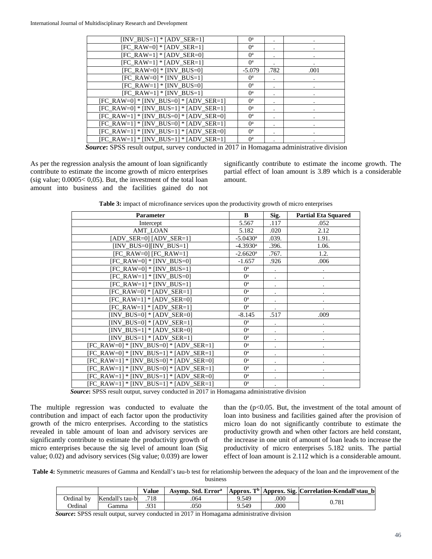| $[INV_BUS=1] * [ADV_SER=1]$              | $0^a$                     |      |      |
|------------------------------------------|---------------------------|------|------|
| $[FC_RAW=0] * [ADV_SER=1]$               | $0^{\rm a}$               |      |      |
| $[FC_RAW=1] * [ADV_SER=0]$               | $0^{\rm a}$               |      |      |
| $[FC_RAW=1] * [ADV_SER=1]$               | $0^a$                     |      |      |
| $[FC_RAW=0] * [INV_BUS=0]$               | $-5.079$                  | .782 | .001 |
| $[FC_RAW=0] * [INV_BUS=1]$               | $0^{\rm a}$               |      |      |
| [FC_RAW=1] * [INV_BUS=0]                 | $0^{\rm a}$               |      |      |
| [FC_RAW=1] * [INV_BUS=1]                 | $0^{\rm a}$               |      |      |
| [FC_RAW=0] * [INV_BUS=0] * [ADV_SER=1]   | $0^a$                     |      |      |
| [FC_RAW=0] * [INV_BUS=1] * [ADV_SER=1]   | $0^{\rm a}$               |      |      |
| $[FC_RAW=1] * [INV_BUS=0] * [ADV_SER=0]$ | $0^{\rm a}$               |      |      |
| $[FC_RAW=1] * [INV_BUS=0] * [ADV_SER=1]$ | $0^a$                     |      |      |
| [FC_RAW=1] * [INV_BUS=1] * [ADV_SER=0]   | $0^a$                     |      |      |
| $[FC_RAW=1] * [INV_BUS=1] * [ADV_SER=1]$ | $\mathbf{0}^{\mathrm{a}}$ |      |      |
|                                          |                           |      | .    |

*Source***:** SPSS result output, survey conducted in 2017 in Homagama administrative division

As per the regression analysis the amount of loan significantly contribute to estimate the income growth of micro enterprises (sig value;  $0.0005 < 0.05$ ). But, the investment of the total loan amount into business and the facilities gained do not significantly contribute to estimate the income growth. The partial effect of loan amount is 3.89 which is a considerable amount.

**Table 3:** impact of microfinance services upon the productivity growth of micro enterprises

| <b>Parameter</b>                         | B                      | Sig.      | Partial Eta Squared |
|------------------------------------------|------------------------|-----------|---------------------|
| Intercept                                | 5.567                  | .117      | .052                |
| AMT_LOAN                                 | 5.182                  | .020      | 2.12                |
| $[ADV_SER=0] [ADV_SER=1]$                | $-5.0430$ <sup>a</sup> | .039.     | 1.91.               |
| $[INV_BUS=0][INV_BUS=1]$                 | $-4.3930$ <sup>a</sup> | .396.     | 1.06.               |
| $[FC_RAW=0] [FC_RAW=1]$                  | $-2.6620$ <sup>a</sup> | .767.     | 1.2.                |
| $[FC_RAW=0] * [INV_BUS=0]$               | $-1.657$               | .926      | .006                |
| $[FC_RAW=0] * [INV_BUS=1]$               | $0^{\rm a}$            | $\bullet$ |                     |
| $[FC_RAW=1] * [INV_BUS=0]$               | $0^{\rm a}$            |           |                     |
| $[FC_RAW=1] * [INV_BUS=1]$               | $0^{\rm a}$            | $\bullet$ |                     |
| $[FC_RAW=0] * [ADV_SER=1]$               | $0^{\rm a}$            |           |                     |
| $[FC_RAW=1] * [ADV_SER=0]$               | $0^a$                  |           |                     |
| $[FC_RAW=1] * [ADV_SER=1]$               | $0^{\rm a}$            |           |                     |
| $[INV_BUS=0] * [ADV_SER=0]$              | $-8.145$               | .517      | .009                |
| $[INV_BUS=0] * [ADV_SER=1]$              | $0^{\rm a}$            |           |                     |
| $[INV_BUS=1] * [ADV_SER=0]$              | $0^a$                  |           |                     |
| $[INV_BUS=1] * [ADV_SER=1]$              | $0^{\rm a}$            |           |                     |
| $[FC_RAW=0] * [INV_BUS=0] * [ADV_SER=1]$ | $0^{\rm a}$            |           |                     |
| $[FC_RAW=0] * [INV_BUS=1] * [ADV_SER=1]$ | $0^{\rm a}$            |           |                     |
| [FC_RAW=1] * [INV_BUS=0] * [ADV_SER=0]   | $0^{\rm a}$            | $\bullet$ |                     |
| [FC_RAW=1] * [INV_BUS=0] * [ADV_SER=1]   | $0^{\rm a}$            |           |                     |
| $[FC_RAW=1] * [INV_BUS=1] * [ADV_SER=0]$ | $0^{\rm a}$            |           |                     |
| [FC_RAW=1] * [INV_BUS=1] * [ADV_SER=1]   | $0^{\rm a}$            |           |                     |

*Source***:** SPSS result output, survey conducted in 2017 in Homagama administrative division

The multiple regression was conducted to evaluate the contribution and impact of each factor upon the productivity growth of the micro enterprises. According to the statistics revealed in table amount of loan and advisory services are significantly contribute to estimate the productivity growth of micro enterprises because the sig level of amount loan (Sig value; 0.02) and advisory services (Sig value; 0.039) are lower

than the  $(p<0.05$ . But, the investment of the total amount of loan into business and facilities gained after the provision of micro loan do not significantly contribute to estimate the productivity growth and when other factors are held constant, the increase in one unit of amount of loan leads to increase the productivity of micro enterprises 5.182 units. The partial effect of loan amount is 2.112 which is a considerable amount.

**Table 4:** Symmetric measures of Gamma and Kendall's tau-b test for relationship between the adequacy of the loan and the improvement of the business

|                |                 | Value | Asymp. Std. Error <sup>a</sup> |       |      | Approx. T <sup>b</sup> Approx. Sig. Correlation-Kendall'stau b |
|----------------|-----------------|-------|--------------------------------|-------|------|----------------------------------------------------------------|
| Ordinal bv     | Kendall's tau-b | 718   | 064                            | 9.549 | .000 | 0.781                                                          |
| <b>Ordinal</b> | Gamma           | .931  | 050                            | 9.549 | 000  |                                                                |

*Source***:** SPSS result output, survey conducted in 2017 in Homagama administrative division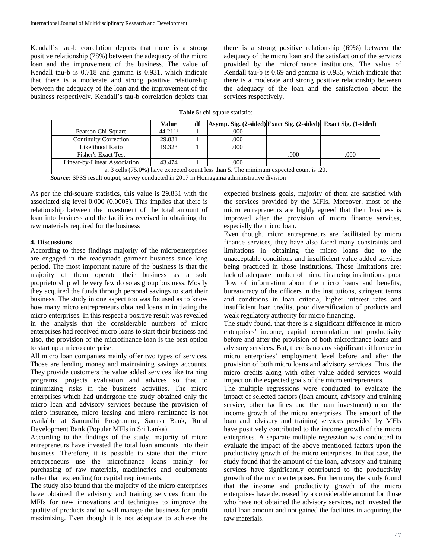Kendall's tau-b correlation depicts that there is a strong positive relationship (78%) between the adequacy of the micro loan and the improvement of the business. The value of Kendall tau-b is 0.718 and gamma is 0.931, which indicate that there is a moderate and strong positive relationship between the adequacy of the loan and the improvement of the business respectively. Kendall's tau-b correlation depicts that there is a strong positive relationship (69%) between the adequacy of the micro loan and the satisfaction of the services provided by the microfinance institutions. The value of Kendall tau-b is 0.69 and gamma is 0.935, which indicate that there is a moderate and strong positive relationship between the adequacy of the loan and the satisfaction about the services respectively.

| <b>Table 5:</b> chi-square statistics |  |
|---------------------------------------|--|
|---------------------------------------|--|

|                                                                                        | Value               | df | Asymp. Sig. (2-sided) Exact Sig. (2-sided) Exact Sig. (1-sided) |      |      |  |  |  |
|----------------------------------------------------------------------------------------|---------------------|----|-----------------------------------------------------------------|------|------|--|--|--|
| Pearson Chi-Square                                                                     | 44.211 <sup>a</sup> |    | .000                                                            |      |      |  |  |  |
| <b>Continuity Correction</b>                                                           | 29.831              |    | .000                                                            |      |      |  |  |  |
| Likelihood Ratio                                                                       | 19.323              |    | .000                                                            |      |      |  |  |  |
| Fisher's Exact Test                                                                    |                     |    |                                                                 | .000 | .000 |  |  |  |
| Linear-by-Linear Association                                                           | 43.474              |    | .000                                                            |      |      |  |  |  |
| a. 3 cells (75.0%) have expected count less than 5. The minimum expected count is .20. |                     |    |                                                                 |      |      |  |  |  |

*Source***:** SPSS result output, survey conducted in 2017 in Homagama administrative division

As per the chi-square statistics, this value is 29.831 with the associated sig level 0.000 (0.0005). This implies that there is relationship between the investment of the total amount of loan into business and the facilities received in obtaining the raw materials required for the business

#### **4. Discussions**

According to these findings majority of the microenterprises are engaged in the readymade garment business since long period. The most important nature of the business is that the majority of them operate their business as a sole proprietorship while very few do so as group business. Mostly they acquired the funds through personal savings to start their business. The study in one aspect too was focused as to know how many micro entrepreneurs obtained loans in initiating the micro enterprises. In this respect a positive result was revealed in the analysis that the considerable numbers of micro enterprises had received micro loans to start their business and also, the provision of the microfinance loan is the best option to start up a micro enterprise.

All micro loan companies mainly offer two types of services. Those are lending money and maintaining savings accounts. They provide customers the value added services like training programs, projects evaluation and advices so that to minimizing risks in the business activities. The micro enterprises which had undergone the study obtained only the micro loan and advisory services because the provision of micro insurance, micro leasing and micro remittance is not available at Samurdhi Programme, Sanasa Bank, Rural Development Bank (Popular MFIs in Sri Lanka)

According to the findings of the study, majority of micro entrepreneurs have invested the total loan amounts into their business. Therefore, it is possible to state that the micro entrepreneurs use the microfinance loans mainly for purchasing of raw materials, machineries and equipments rather than expending for capital requirements.

The study also found that the majority of the micro enterprises have obtained the advisory and training services from the MFIs for new innovations and techniques to improve the quality of products and to well manage the business for profit maximizing. Even though it is not adequate to achieve the expected business goals, majority of them are satisfied with the services provided by the MFIs. Moreover, most of the micro entrepreneurs are highly agreed that their business is improved after the provision of micro finance services, especially the micro loan.

Even though, micro entrepreneurs are facilitated by micro finance services, they have also faced many constraints and limitations in obtaining the micro loans due to the unacceptable conditions and insufficient value added services being practiced in those institutions. Those limitations are; lack of adequate number of micro financing institutions, poor flow of information about the micro loans and benefits, bureaucracy of the officers in the institutions, stringent terms and conditions in loan criteria, higher interest rates and insufficient loan credits, poor diversification of products and weak regulatory authority for micro financing.

The study found, that there is a significant difference in micro enterprises' income, capital accumulation and productivity before and after the provision of both microfinance loans and advisory services. But, there is no any significant difference in micro enterprises' employment level before and after the provision of both micro loans and advisory services. Thus, the micro credits along with other value added services would impact on the expected goals of the micro entrepreneurs.

The multiple regressions were conducted to evaluate the impact of selected factors (loan amount, advisory and training service, other facilities and the loan investment) upon the income growth of the micro enterprises. The amount of the loan and advisory and training services provided by MFIs have positively contributed to the income growth of the micro enterprises. A separate multiple regression was conducted to evaluate the impact of the above mentioned factors upon the productivity growth of the micro enterprises. In that case, the study found that the amount of the loan, advisory and training services have significantly contributed to the productivity growth of the micro enterprises. Furthermore, the study found that the income and productivity growth of the micro enterprises have decreased by a considerable amount for those who have not obtained the advisory services, not invested the total loan amount and not gained the facilities in acquiring the raw materials.